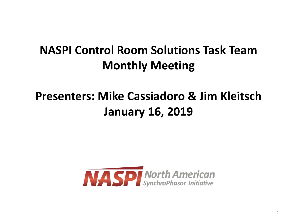## **NASPI Control Room Solutions Task Team Monthly Meeting**

## **Presenters: Mike Cassiadoro & Jim Kleitsch January 16, 2019**

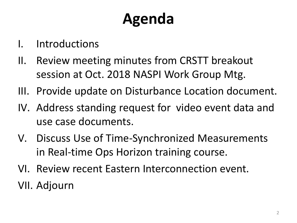# **Agenda**

- I. Introductions
- II. Review meeting minutes from CRSTT breakout session at Oct. 2018 NASPI Work Group Mtg.
- III. Provide update on Disturbance Location document.
- IV. Address standing request for video event data and use case documents.
- V. Discuss Use of Time-Synchronized Measurements in Real-time Ops Horizon training course.
- VI. Review recent Eastern Interconnection event.
- VII. Adjourn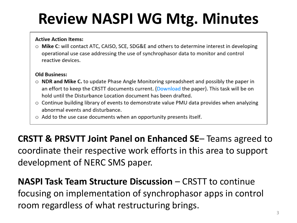# **Review NASPI WG Mtg. Minutes**

### **Active Action Items:**

○ Mike C: will contact ATC, CAISO, SCE, SDG&E and others to determine interest in developing operational use case addressing the use of synchrophasor data to monitor and control reactive devices.

### **Old Business:**

- $\circ$  NDR and Mike C. to update Phase Angle Monitoring spreadsheet and possibly the paper in an effort to keep the CRSTT documents current. (Download the paper). This task will be on hold until the Disturbance Location document has been drafted.
- Continue building library of events to demonstrate value PMU data provides when analyzing abnormal events and disturbance.
- $\circ$  Add to the use case documents when an opportunity presents itself.

**CRSTT & PRSVTT Joint Panel on Enhanced SE**– Teams agreed to coordinate their respective work efforts in this area to support development of NERC SMS paper.

## **NASPI Task Team Structure Discussion** – CRSTT to continue focusing on implementation of synchrophasor apps in control room regardless of what restructuring brings.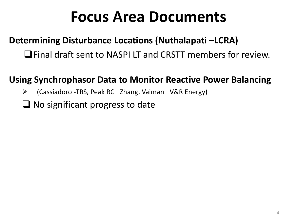# **Focus Area Documents**

### **Determining Disturbance Locations (Nuthalapati –LCRA)**

Final draft sent to NASPI LT and CRSTT members for review.

### **Using Synchrophasor Data to Monitor Reactive Power Balancing**

- (Cassiadoro -TRS, Peak RC –Zhang, Vaiman –V&R Energy)
- $\Box$  No significant progress to date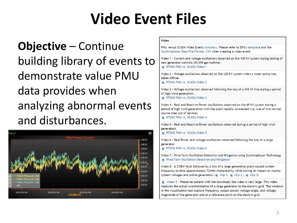# **Video Event Files**

**Objective** – Continue building library of events to demonstrate value PMU data provides when analyzing abnormal events and disturbances.



#### Video

PMU versus SCADA Video Events Summary. Please refer to EPG's template and the Synchrophasor Data File Format .CSV when creating a video event.

Video 1 - Current and voltage oscillations observed on the 138 kV system during testing of new generator controls (65 MW gas turbine).

**E** RTDMS PMU vs. SCADA Video 1

Video 2 - Voltage oscillations observed on the 230 kV system when a water pump was taken offline.

**RTDMS PMU vs. SCADA Video 2** 

Video 3 - Voltage oscillations observed following the loss of a 345 kV line during a period of high wind generation.

RTDMS PMU vs. SCADA Video 3

Video 4 - Real and Reactive Power oscillations observed on the 69 kV system during a period of high wind generation with the plant radially connected (i.e. one of two normal source lines out of service).

**RTDMS PMU vs. SCADA Video 4** 

Video 5 - Real and Reactive Power oscillations observed during a period of high wind generation.

RTDMS PMU vs. SCADA Video 5

Video 6 - Real Power and voltage oscillations observed following the loss of a large generator.

RTDMS PMU vs. SCADA Video 6

Video 7 - Wind farm Oscillation Detection and Mitigation using Synchrophasor Technology **No. 20 Wind Farm Oscillation Detection and Mitigation** 

Video 8 - A 230kV fault followed by a loss of a large generation plant caused system frequency to drop approximately 72mHz momentarily, while having an impact on nearby system voltages and online generators ( $\frac{1}{2}$ ) Clip 1,  $\frac{1}{2}$ ) Clip 2,  $\frac{1}{2}$ ) Clip 3)

a) Video 9 - Please be patient with the download, the video is very large. This video captures the actual synchronization of a large generator to the electric grid. The windows in the visualization tool capture frequency, output power, voltage angle, and voltage magnitude of the generator and at a reference point on the electric grid.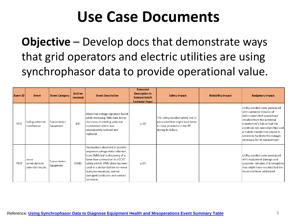# **Use Case Documents**

**Objective** – Develop docs that demonstrate ways that grid operators and electric utilities are using synchrophasor data to provide operational value.

| Event ID    | Event                                         | <b>Event Category</b>     | <b>Entities</b><br>Involved | <b>Event Description</b>                                                                                                                                                                                                                                                                              | <b>Extended</b><br><b>Description in</b><br><b>Related NASPI</b><br><b>Technical Paper</b> | <b>Safety Impact</b>                                                                                                        | <b>Reliability Impact</b> | <b>Budgetary Impact</b>                                                                                                                                                                                                                                                                                       |
|-------------|-----------------------------------------------|---------------------------|-----------------------------|-------------------------------------------------------------------------------------------------------------------------------------------------------------------------------------------------------------------------------------------------------------------------------------------------------|--------------------------------------------------------------------------------------------|-----------------------------------------------------------------------------------------------------------------------------|---------------------------|---------------------------------------------------------------------------------------------------------------------------------------------------------------------------------------------------------------------------------------------------------------------------------------------------------------|
| <b>TE02</b> | Failing potential<br>transformer              | Transmission<br>Equipment | <b>ATC</b>                  | Abnormal voltage signature found<br>while reviewing PMU data led to<br>discovery of a failing potential<br>transformer which was<br>subsequently isolated and<br>replaced.                                                                                                                            | p.38                                                                                       | The utility avoided safety risk to<br>personnel that might have been<br>in close proximity to the PT<br>during its failure. |                           | Utility avoided costs associated<br>l with customer minutes of<br>interruption that would have<br>resulted from the potential<br>ltransformer's failure had the<br>condition not been identified and<br>a mobile transformer placed in<br>service to facilitate the outages<br>necessary for its replacement. |
| TE03        | Loose<br>connections in<br>potential circuits | Transmission<br>Equipment | OG&E                        | Fluctuations observed in positive<br>sequence voltage data collected<br>from PMUs led to discovery of a<br>lloose fuse connection in a CCVT<br>safety switch. PMU data has been<br>used in a similar fashion to reveal<br>faulty terminations, animal-<br>damaged conductor and contact<br>corrosion. | p.40                                                                                       |                                                                                                                             |                           | Utility avoided costs associated<br>with equipment damage and<br>customer minutes of interruption<br>that might have resulted had the<br>lissues not been addressed.                                                                                                                                          |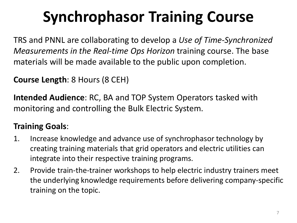# **Synchrophasor Training Course**

TRS and PNNL are collaborating to develop a *Use of Time-Synchronized Measurements in the Real-time Ops Horizon* training course. The base materials will be made available to the public upon completion.

**Course Length**: 8 Hours (8 CEH)

**Intended Audience**: RC, BA and TOP System Operators tasked with monitoring and controlling the Bulk Electric System.

### **Training Goals**:

- 1. Increase knowledge and advance use of synchrophasor technology by creating training materials that grid operators and electric utilities can integrate into their respective training programs.
- 2. Provide train-the-trainer workshops to help electric industry trainers meet the underlying knowledge requirements before delivering company-specific training on the topic.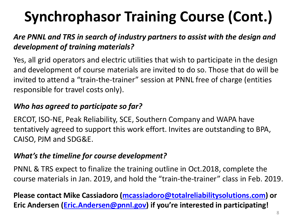# **Synchrophasor Training Course (Cont.)**

### *Are PNNL and TRS in search of industry partners to assist with the design and development of training materials?*

Yes, all grid operators and electric utilities that wish to participate in the design and development of course materials are invited to do so. Those that do will be invited to attend a "train-the-trainer" session at PNNL free of charge (entities responsible for travel costs only).

### *Who has agreed to participate so far?*

ERCOT, ISO-NE, Peak Reliability, SCE, Southern Company and WAPA have tentatively agreed to support this work effort. Invites are outstanding to BPA, CAISO, PJM and SDG&E.

### *What's the timeline for course development?*

PNNL & TRS expect to finalize the training outline in Oct.2018, complete the course materials in Jan. 2019, and hold the "train-the-trainer" class in Feb. 2019.

**Please contact Mike Cassiadoro ([mcassiadoro@totalreliabilitysolutions.com\)](mailto:mcassiadoro@totalreliabilitysolutions.com) or Eric Andersen [\(Eric.Andersen@pnnl.gov\)](mailto:Eric.Andersen@pnnl.gov) if you're interested in participating!**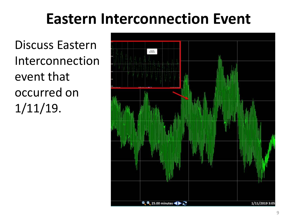# **Eastern Interconnection Event**

Discuss Eastern Interconnection event that occurred on 1/11/19.

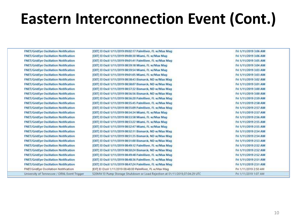# **Eastern Interconnection Event (Cont.)**

**FNET/GridEve Oscillation Notification FNET/GridEye Oscillation Notification FNET/GridEye Oscillation Notification FNET/GridEye Oscillation Notification FNET/GridEye Oscillation Notification FNET/GridEye Oscillation Notification FNET/GridEye Oscillation Notification FNET/GridEye Oscillation Notification FNET/GridEye Oscillation Notification FNET/GridEye Oscillation Notification FNET/GridEye Oscillation Notification FNET/GridEye Oscillation Notification FNET/GridEye Oscillation Notification FNET/GridEye Oscillation Notification FNET/GridEve Oscillation Notification FNET/GridEve Oscillation Notification FNET/GridEye Oscillation Notification FNET/GridEye Oscillation Notification FNET/GridEye Oscillation Notification FNET/GridEye Oscillation Notification FNET/GridEye Oscillation Notification FNET/GridEye Oscillation Notification FNET/GridEye Oscillation Notification FNET/GridEye Oscillation Notification FNET/GridEve Oscillation Notification** FNET/GridEye Oscillation Notification University of Tennessee / ORNL Event Trigger [EXT] El Oscil 1/11/2019 09:02:17 PalmRiver, FL w/Max Mag Fri 1/11/2019 3:06 AM [EXT] El Oscil 1/11/2019 09:00:30 Miami, FL w/Max Mag Fri 1/11/2019 3:06 AM [EXT] El Oscil 1/11/2019 09:01:41 PalmRiver, FL w/Max Mag Fri 1/11/2019 3:05 AM [EXT] El Oscil 1/11/2019 08:59:18 Miami, FL w/Max Mag Fri 1/11/2019 3:04 AM [EXT] El Oscil 1/11/2019 08:59:54 Miami, FL w/Max Mag Fri 1/11/2019 3:03 AM [EXT] El Oscil 1/11/2019 09:01:05 Miami, FL w/Max Mag Fri 1/11/2019 3:03 AM [EXT] El Oscil 1/11/2019 08:58:43 Bismarck, ND w/Max Mag Fri 1/11/2019 3:02 AM [EXT] El Oscil 1/11/2019 08:58:07 Bismarck, ND w/Max Mag Fri 1/11/2019 3:01 AM Fri 1/11/2019 3:00 AM [EXT] El Oscil 1/11/2019 08:57:32 Bismarck, ND w/Max Mag [EXT] El Oscil 1/11/2019 08:56:56 Bismarck, ND w/Max Mag Fri 1/11/2019 3:00 AM [EXT] El Oscil 1/11/2019 08:56:20 PalmRiver, FL w/Max Mag Fri 1/11/2019 2:59 AM [EXT] El Oscil 1/11/2019 08:55:45 PalmRiver, FL w/Max Mag Fri 1/11/2019 2:58 AM [EXT] El Oscil 1/11/2019 08:55:09 PalmRiver, FL w/Max Mag Fri 1/11/2019 2:57 AM [EXT] El Oscil 1/11/2019 08:54:34 Miami, FL w/Max Mag Fri 1/11/2019 2:57 AM [EXT] El Oscil 1/11/2019 08:53:58 Miami, FL w/Max Mag-Fri 1/11/2019 2:56 AM [EXT] El Oscil 1/11/2019 08:53:22 Miami, FL w/Max Mag Fri 1/11/2019 2:55 AM [EXT] El Oscil 1/11/2019 08:52:47 Miami, FL w/Max Mag Fri 1/11/2019 2:55 AM [EXT] El Oscil 1/11/2019 08:52:11 Bismarck, ND w/Max Mag Eri 1/11/2019 2:54 AM [EXT] El Oscil 1/11/2019 08:51:35 Bismarck, ND w/Max Mag Fri 1/11/2019 2:54 AM [EXT] El Oscil 1/11/2019 08:51:00 Bismarck, ND w/Max Mag Fri 1/11/2019 2:53 AM [EXT] El Oscil 1/11/2019 08:49:12 PalmRiver, FL w/Max Mag Fri 1/11/2019 2:52 AM [EXT] El Oscil 1/11/2019 08:50:24 Bismarck, ND w/Max Mag Fri 1/11/2019 2:52 AM [EXT] El Oscil 1/11/2019 08:49:48 PalmRiver, FL w/Max Mag Fri 1/11/2019 2:52 AM [EXT] El Oscil 1/11/2019 08:48:36 PalmRiver, FL w/Max Mag Fri 1/11/2019 2:51 AM [EXT] El Oscil 1/11/2019 08:47:24 PalmRiver, FL w/Max Mag Fri 1/11/2019 2:51 AM [EXT] El Oscif 1/11/2019 08:48:00 PalmRiver, FL w/Max Mag Fri 1/11/2019 2:50 AM 520MW El Pump Storage Shutdown or Load Rejection at 01/11/2019.07:04:29 UTC Fri 1/11/2019 1:07 AM